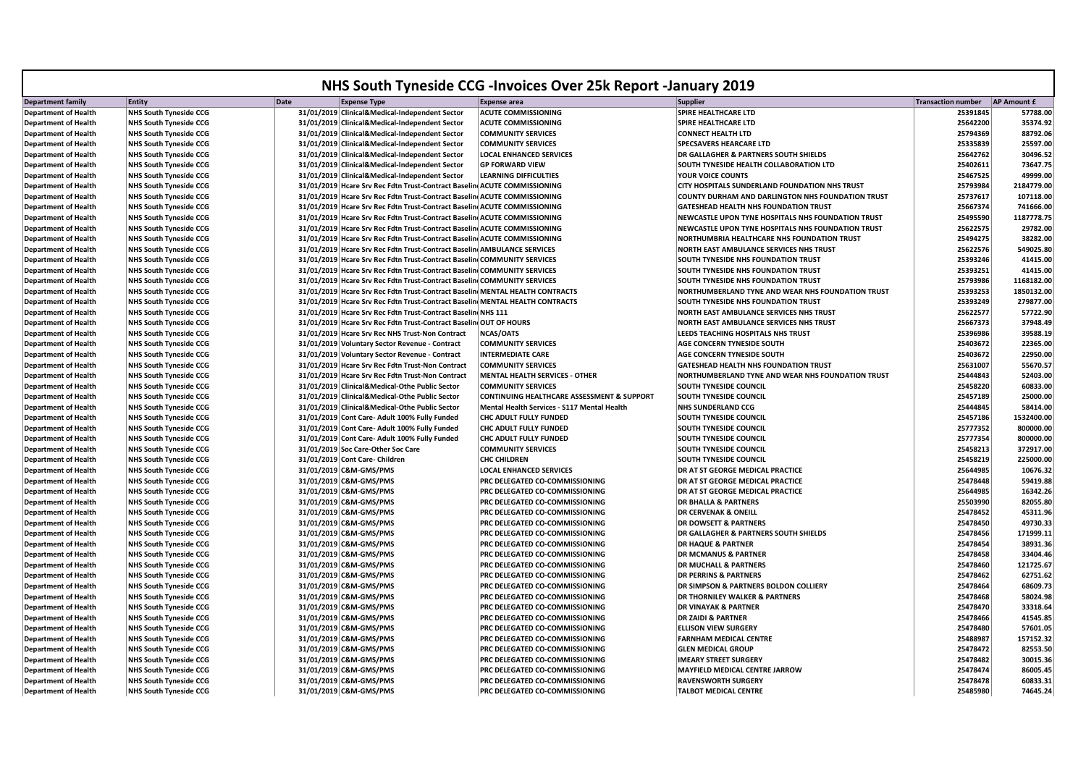|                             |                               |                                                                              | NHS South Tyneside CCG - Invoices Over 25k Report - January 2019 |                                                    |                           |                    |
|-----------------------------|-------------------------------|------------------------------------------------------------------------------|------------------------------------------------------------------|----------------------------------------------------|---------------------------|--------------------|
| <b>Department family</b>    | Entity                        | Date<br><b>Expense Type</b>                                                  | <b>Expense area</b>                                              | <b>Supplier</b>                                    | <b>Transaction number</b> | <b>AP Amount £</b> |
| <b>Department of Health</b> | <b>NHS South Tyneside CCG</b> | 31/01/2019 Clinical&Medical-Independent Sector                               | <b>ACUTE COMMISSIONING</b>                                       | SPIRE HEALTHCARE LTD                               | 25391845                  | 57788.00           |
| <b>Department of Health</b> | <b>NHS South Tyneside CCG</b> | 31/01/2019 Clinical&Medical-Independent Sector                               | <b>ACUTE COMMISSIONING</b>                                       | SPIRE HEALTHCARE LTD                               | 25642200                  | 35374.92           |
| <b>Department of Health</b> | <b>NHS South Tyneside CCG</b> | 31/01/2019 Clinical&Medical-Independent Sector                               | <b>COMMUNITY SERVICES</b>                                        | <b>CONNECT HEALTH LTD</b>                          | 25794369                  | 88792.06           |
| <b>Department of Health</b> | <b>NHS South Tyneside CCG</b> | 31/01/2019 Clinical&Medical-Independent Sector                               | <b>COMMUNITY SERVICES</b>                                        | SPECSAVERS HEARCARE LTD                            | 25335839                  | 25597.00           |
| <b>Department of Health</b> | <b>NHS South Tyneside CCG</b> | 31/01/2019 Clinical&Medical-Independent Sector                               | <b>LOCAL ENHANCED SERVICES</b>                                   | DR GALLAGHER & PARTNERS SOUTH SHIELDS              | 25642762                  | 30496.52           |
| <b>Department of Health</b> | <b>NHS South Tyneside CCG</b> | 31/01/2019 Clinical&Medical-Independent Sector                               | <b>GP FORWARD VIEW</b>                                           | SOUTH TYNESIDE HEALTH COLLABORATION LTD            | 25402611                  | 73647.75           |
| <b>Department of Health</b> | <b>NHS South Tyneside CCG</b> | 31/01/2019 Clinical&Medical-Independent Sector                               | <b>LEARNING DIFFICULTIES</b>                                     | YOUR VOICE COUNTS                                  | 25467525                  | 49999.00           |
| <b>Department of Health</b> | <b>NHS South Tyneside CCG</b> | 31/01/2019 Hcare Srv Rec Fdtn Trust-Contract Baselin ACUTE COMMISSIONING     |                                                                  | CITY HOSPITALS SUNDERLAND FOUNDATION NHS TRUST     | 25793984                  | 2184779.00         |
| <b>Department of Health</b> | <b>NHS South Tyneside CCG</b> | 31/01/2019 Hcare Srv Rec Fdtn Trust-Contract Baselin ACUTE COMMISSIONING     |                                                                  | COUNTY DURHAM AND DARLINGTON NHS FOUNDATION TRUST  | 25737617                  | 107118.00          |
| <b>Department of Health</b> | <b>NHS South Tyneside CCG</b> | 31/01/2019 Hcare Srv Rec Fdtn Trust-Contract Baselin ACUTE COMMISSIONING     |                                                                  | GATESHEAD HEALTH NHS FOUNDATION TRUST              | 25667374                  | 741666.00          |
| <b>Department of Health</b> | <b>NHS South Tyneside CCG</b> | 31/01/2019 Hcare Srv Rec Fdtn Trust-Contract Baselin ACUTE COMMISSIONING     |                                                                  | NEWCASTLE UPON TYNE HOSPITALS NHS FOUNDATION TRUST | 25495590                  | 1187778.75         |
| <b>Department of Health</b> | <b>NHS South Tyneside CCG</b> | 31/01/2019 Hcare Srv Rec Fdtn Trust-Contract Baselin ACUTE COMMISSIONING     |                                                                  | NEWCASTLE UPON TYNE HOSPITALS NHS FOUNDATION TRUST | 25622575                  | 29782.00           |
| <b>Department of Health</b> | <b>NHS South Tyneside CCG</b> | 31/01/2019 Hcare Srv Rec Fdtn Trust-Contract Baselin ACUTE COMMISSIONING     |                                                                  | NORTHUMBRIA HEALTHCARE NHS FOUNDATION TRUST        | 25494275                  | 38282.00           |
| <b>Department of Health</b> | <b>NHS South Tyneside CCG</b> | 31/01/2019 Hcare Srv Rec Fdtn Trust-Contract Baselin AMBULANCE SERVICES      |                                                                  | NORTH EAST AMBULANCE SERVICES NHS TRUST            | 25622576                  | 549025.80          |
| <b>Department of Health</b> | <b>NHS South Tyneside CCG</b> | 31/01/2019 Hcare Srv Rec Fdtn Trust-Contract Baselin COMMUNITY SERVICES      |                                                                  | SOUTH TYNESIDE NHS FOUNDATION TRUST                | 25393246                  | 41415.00           |
| <b>Department of Health</b> | <b>NHS South Tyneside CCG</b> | 31/01/2019 Hcare Srv Rec Fdtn Trust-Contract Baselin COMMUNITY SERVICES      |                                                                  | SOUTH TYNESIDE NHS FOUNDATION TRUST                | 25393251                  | 41415.00           |
| <b>Department of Health</b> | <b>NHS South Tyneside CCG</b> | 31/01/2019 Hcare Srv Rec Fdtn Trust-Contract Baselin COMMUNITY SERVICES      |                                                                  | SOUTH TYNESIDE NHS FOUNDATION TRUST                | 25793986                  | 1168182.00         |
| <b>Department of Health</b> | <b>NHS South Tyneside CCG</b> | 31/01/2019 Hcare Srv Rec Fdtn Trust-Contract Baselin MENTAL HEALTH CONTRACTS |                                                                  | NORTHUMBERLAND TYNE AND WEAR NHS FOUNDATION TRUST  | 25393253                  | 1850132.00         |
| <b>Department of Health</b> | <b>NHS South Tyneside CCG</b> | 31/01/2019 Hcare Srv Rec Fdtn Trust-Contract Baselin MENTAL HEALTH CONTRACTS |                                                                  | SOUTH TYNESIDE NHS FOUNDATION TRUST                | 25393249                  | 279877.00          |
| <b>Department of Health</b> | <b>NHS South Tyneside CCG</b> | 31/01/2019 Hcare Srv Rec Fdtn Trust-Contract Baselin NHS 111                 |                                                                  | NORTH EAST AMBULANCE SERVICES NHS TRUST            | 25622577                  | 57722.90           |
| <b>Department of Health</b> | <b>NHS South Tyneside CCG</b> | 31/01/2019 Hcare Srv Rec Fdtn Trust-Contract Baselin OUT OF HOURS            |                                                                  | NORTH EAST AMBULANCE SERVICES NHS TRUST            | 25667373                  | 37948.49           |
| <b>Department of Health</b> | <b>NHS South Tyneside CCG</b> | 31/01/2019 Hcare Srv Rec NHS Trust-Non Contract                              | <b>NCAS/OATS</b>                                                 | LEEDS TEACHING HOSPITALS NHS TRUST                 | 25396986                  | 39588.19           |
| <b>Department of Health</b> | <b>NHS South Tyneside CCG</b> | 31/01/2019 Voluntary Sector Revenue - Contract                               | <b>COMMUNITY SERVICES</b>                                        | AGE CONCERN TYNESIDE SOUTH                         | 25403672                  | 22365.00           |
| <b>Department of Health</b> | <b>NHS South Tyneside CCG</b> | 31/01/2019 Voluntary Sector Revenue - Contract                               | <b>INTERMEDIATE CARE</b>                                         | AGE CONCERN TYNESIDE SOUTH                         | 25403672                  | 22950.00           |
| <b>Department of Health</b> | <b>NHS South Tyneside CCG</b> | 31/01/2019 Hcare Srv Rec Fdtn Trust-Non Contract                             | <b>COMMUNITY SERVICES</b>                                        | <b>GATESHEAD HEALTH NHS FOUNDATION TRUST</b>       | 25631007                  | 55670.57           |
| <b>Department of Health</b> | <b>NHS South Tyneside CCG</b> | 31/01/2019 Hcare Srv Rec Fdtn Trust-Non Contract                             | MENTAL HEALTH SERVICES - OTHER                                   | NORTHUMBERLAND TYNE AND WEAR NHS FOUNDATION TRUST  | 25444843                  | 52403.00           |
| <b>Department of Health</b> | <b>NHS South Tyneside CCG</b> | 31/01/2019 Clinical&Medical-Othe Public Sector                               | <b>COMMUNITY SERVICES</b>                                        | SOUTH TYNESIDE COUNCIL                             | 25458220                  | 60833.00           |
| <b>Department of Health</b> | <b>NHS South Tyneside CCG</b> | 31/01/2019 Clinical&Medical-Othe Public Sector                               | <b>CONTINUING HEALTHCARE ASSESSMENT &amp; SUPPORT</b>            | SOUTH TYNESIDE COUNCIL                             | 25457189                  | 25000.00           |
| <b>Department of Health</b> | <b>NHS South Tyneside CCG</b> | 31/01/2019 Clinical&Medical-Othe Public Sector                               | Mental Health Services - S117 Mental Health                      | NHS SUNDERLAND CCG                                 | 25444845                  | 58414.00           |
| <b>Department of Health</b> | <b>NHS South Tyneside CCG</b> | 31/01/2019 Cont Care- Adult 100% Fully Funded                                | <b>CHC ADULT FULLY FUNDED</b>                                    | <b>SOUTH TYNESIDE COUNCIL</b>                      | 25457186                  | 1532400.00         |
| <b>Department of Health</b> | <b>NHS South Tyneside CCG</b> | 31/01/2019 Cont Care- Adult 100% Fully Funded                                | <b>CHC ADULT FULLY FUNDED</b>                                    | SOUTH TYNESIDE COUNCIL                             | 25777352                  | 800000.00          |
| <b>Department of Health</b> | <b>NHS South Tyneside CCG</b> | 31/01/2019 Cont Care- Adult 100% Fully Funded                                | <b>CHC ADULT FULLY FUNDED</b>                                    | SOUTH TYNESIDE COUNCIL                             | 25777354                  | 800000.00          |
| <b>Department of Health</b> | <b>NHS South Tyneside CCG</b> | 31/01/2019 Soc Care-Other Soc Care                                           | <b>COMMUNITY SERVICES</b>                                        | SOUTH TYNESIDE COUNCIL                             | 25458213                  | 372917.00          |
| <b>Department of Health</b> | <b>NHS South Tyneside CCG</b> | 31/01/2019 Cont Care- Children                                               | <b>CHC CHILDREN</b>                                              | <b>SOUTH TYNESIDE COUNCIL</b>                      | 25458219                  | 225000.00          |
| <b>Department of Health</b> | <b>NHS South Tyneside CCG</b> | 31/01/2019 C&M-GMS/PMS                                                       | <b>LOCAL ENHANCED SERVICES</b>                                   | DR AT ST GEORGE MEDICAL PRACTICE                   | 25644985                  | 10676.32           |
| <b>Department of Health</b> | <b>NHS South Tyneside CCG</b> | 31/01/2019 C&M-GMS/PMS                                                       | <b>PRC DELEGATED CO-COMMISSIONING</b>                            | DR AT ST GEORGE MEDICAL PRACTICE                   | 25478448                  | 59419.88           |
| <b>Department of Health</b> | <b>NHS South Tyneside CCG</b> | 31/01/2019 C&M-GMS/PMS                                                       | <b>PRC DELEGATED CO-COMMISSIONING</b>                            | DR AT ST GEORGE MEDICAL PRACTICE                   | 25644985                  | 16342.26           |
| <b>Department of Health</b> | <b>NHS South Tyneside CCG</b> | 31/01/2019 C&M-GMS/PMS                                                       | PRC DELEGATED CO-COMMISSIONING                                   | <b>DR BHALLA &amp; PARTNERS</b>                    | 25503990                  | 82055.80           |
| <b>Department of Health</b> | <b>NHS South Tyneside CCG</b> | 31/01/2019 C&M-GMS/PMS                                                       | PRC DELEGATED CO-COMMISSIONING                                   | DR CERVENAK & ONEILL                               | 25478452                  | 45311.96           |
| <b>Department of Health</b> | <b>NHS South Tyneside CCG</b> | 31/01/2019 C&M-GMS/PMS                                                       | PRC DELEGATED CO-COMMISSIONING                                   | <b>DR DOWSETT &amp; PARTNERS</b>                   | 25478450                  | 49730.33           |
| <b>Department of Health</b> | <b>NHS South Tyneside CCG</b> | 31/01/2019 C&M-GMS/PMS                                                       | PRC DELEGATED CO-COMMISSIONING                                   | DR GALLAGHER & PARTNERS SOUTH SHIELDS              | 25478456                  | 171999.11          |
| <b>Department of Health</b> | <b>NHS South Tyneside CCG</b> | 31/01/2019 C&M-GMS/PMS                                                       | PRC DELEGATED CO-COMMISSIONING                                   | <b>DR HAQUE &amp; PARTNER</b>                      | 25478454                  | 38931.36           |
| <b>Department of Health</b> | <b>NHS South Tyneside CCG</b> | 31/01/2019 C&M-GMS/PMS                                                       | <b>PRC DELEGATED CO-COMMISSIONING</b>                            | DR MCMANUS & PARTNER                               | 25478458                  | 33404.46           |
| <b>Department of Health</b> | <b>NHS South Tyneside CCG</b> | 31/01/2019 C&M-GMS/PMS                                                       | PRC DELEGATED CO-COMMISSIONING                                   | <b>DR MUCHALL &amp; PARTNERS</b>                   | 25478460                  | 121725.67          |
| <b>Department of Health</b> | <b>NHS South Tyneside CCG</b> | 31/01/2019 C&M-GMS/PMS                                                       | <b>PRC DELEGATED CO-COMMISSIONING</b>                            | <b>DR PERRINS &amp; PARTNERS</b>                   | 25478462                  | 62751.62           |
| <b>Department of Health</b> | <b>NHS South Tyneside CCG</b> | 31/01/2019 C&M-GMS/PMS                                                       | PRC DELEGATED CO-COMMISSIONING                                   | DR SIMPSON & PARTNERS BOLDON COLLIERY              | 25478464                  | 68609.73           |
| <b>Department of Health</b> | <b>NHS South Tyneside CCG</b> | 31/01/2019 C&M-GMS/PMS                                                       | PRC DELEGATED CO-COMMISSIONING                                   | <b>DR THORNILEY WALKER &amp; PARTNERS</b>          | 25478468                  | 58024.98           |
| <b>Department of Health</b> | <b>NHS South Tyneside CCG</b> | 31/01/2019 C&M-GMS/PMS                                                       | PRC DELEGATED CO-COMMISSIONING                                   | <b>DR VINAYAK &amp; PARTNER</b>                    | 25478470                  | 33318.64           |
| <b>Department of Health</b> | <b>NHS South Tyneside CCG</b> | 31/01/2019 C&M-GMS/PMS                                                       | PRC DELEGATED CO-COMMISSIONING                                   | <b>DR ZAIDI &amp; PARTNER</b>                      | 25478466                  | 41545.85           |
| <b>Department of Health</b> | <b>NHS South Tyneside CCG</b> | 31/01/2019 C&M-GMS/PMS                                                       | PRC DELEGATED CO-COMMISSIONING                                   | <b>ELLISON VIEW SURGERY</b>                        | 25478480                  | 57601.05           |
| <b>Department of Health</b> | <b>NHS South Tyneside CCG</b> | 31/01/2019 C&M-GMS/PMS                                                       | PRC DELEGATED CO-COMMISSIONING                                   | <b>FARNHAM MEDICAL CENTRE</b>                      | 25488987                  | 157152.32          |
| <b>Department of Health</b> | <b>NHS South Tyneside CCG</b> | 31/01/2019 C&M-GMS/PMS                                                       | <b>PRC DELEGATED CO-COMMISSIONING</b>                            | <b>GLEN MEDICAL GROUP</b>                          | 25478472                  | 82553.50           |
| <b>Department of Health</b> | <b>NHS South Tyneside CCG</b> | 31/01/2019 C&M-GMS/PMS                                                       | PRC DELEGATED CO-COMMISSIONING                                   | <b>IMEARY STREET SURGERY</b>                       | 25478482                  | 30015.36           |
| <b>Department of Health</b> | <b>NHS South Tyneside CCG</b> | 31/01/2019 C&M-GMS/PMS                                                       | PRC DELEGATED CO-COMMISSIONING                                   | MAYFIELD MEDICAL CENTRE JARROW                     | 25478474                  | 86005.45           |
| <b>Department of Health</b> | <b>NHS South Tyneside CCG</b> | 31/01/2019 C&M-GMS/PMS                                                       | PRC DELEGATED CO-COMMISSIONING                                   | <b>RAVENSWORTH SURGERY</b>                         | 25478478                  | 60833.31           |
| <b>Department of Health</b> | NHS South Tyneside CCG        | 31/01/2019 C&M-GMS/PMS                                                       | <b>PRC DELEGATED CO-COMMISSIONING</b>                            | <b>TALBOT MEDICAL CENTRE</b>                       | 25485980                  | 74645.24           |
|                             |                               |                                                                              |                                                                  |                                                    |                           |                    |